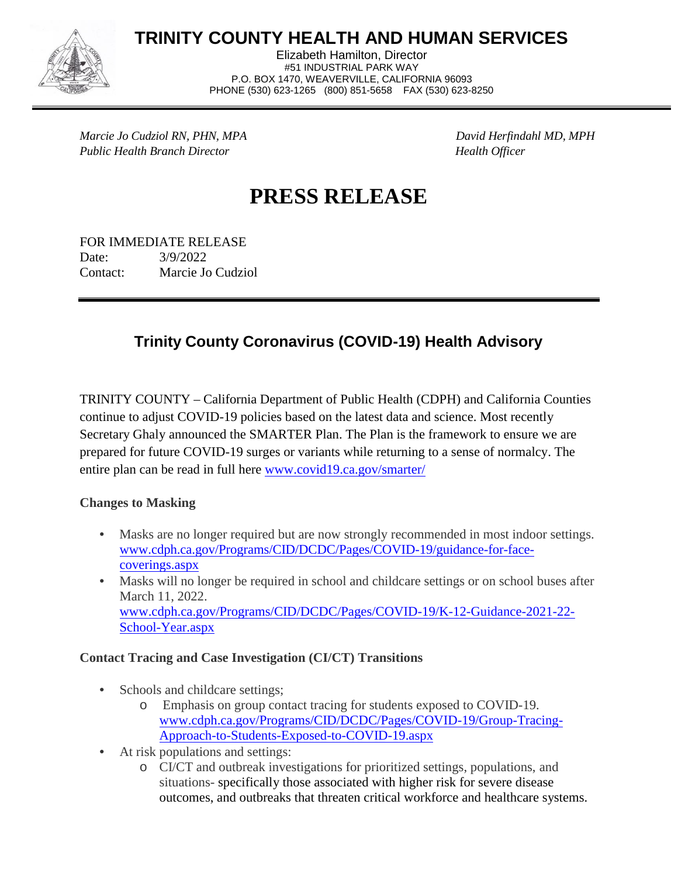

**TRINITY COUNTY HEALTH AND HUMAN SERVICES**

Elizabeth Hamilton, Director #51 INDUSTRIAL PARK WAY P.O. BOX 1470, WEAVERVILLE, CALIFORNIA 96093 PHONE (530) 623-1265 (800) 851-5658 FAX (530) 623-8250

*Marcie Jo Cudziol RN, PHN, MPA David Herfindahl MD, MPH Public Health Branch Director Health Officer*

# **PRESS RELEASE**

FOR IMMEDIATE RELEASE Date: 3/9/2022 Contact: Marcie Jo Cudziol

## **Trinity County Coronavirus (COVID-19) Health Advisory**

TRINITY COUNTY – California Department of Public Health (CDPH) and California Counties continue to adjust COVID-19 policies based on the latest data and science. Most recently Secretary Ghaly announced the SMARTER Plan. The Plan is the framework to ensure we are prepared for future COVID-19 surges or variants while returning to a sense of normalcy. The entire plan can be read in full here [www.covid19.ca.gov/smarter/](https://covid19.ca.gov/smarter/)

**Changes to Masking**

- Masks are no longer required but are now strongly recommended in most indoor settings. [www.cdph.ca.gov/Programs/CID/DCDC/Pages/COVID-19/guidance-for-face](https://www.cdph.ca.gov/Programs/CID/DCDC/Pages/COVID-19/guidance-for-face-coverings.aspx)[coverings.aspx](https://www.cdph.ca.gov/Programs/CID/DCDC/Pages/COVID-19/guidance-for-face-coverings.aspx)
- Masks will no longer be required in school and childcare settings or on school buses after March 11, 2022. [www.cdph.ca.gov/Programs/CID/DCDC/Pages/COVID-19/K-12-Guidance-2021-22-](https://www.cdph.ca.gov/Programs/CID/DCDC/Pages/COVID-19/K-12-Guidance-2021-22-School-Year.aspx) [School-Year.aspx](https://www.cdph.ca.gov/Programs/CID/DCDC/Pages/COVID-19/K-12-Guidance-2021-22-School-Year.aspx)

#### **Contact Tracing and Case Investigation (CI/CT) Transitions**

- Schools and childcare settings;
	- o Emphasis on group contact tracing for students exposed to COVID-19. [www.cdph.ca.gov/Programs/CID/DCDC/Pages/COVID-19/Group-Tracing-](https://www.cdph.ca.gov/Programs/CID/DCDC/Pages/COVID-19/Group-Tracing-Approach-to-Students-Exposed-to-COVID-19.aspx)[Approach-to-Students-Exposed-to-COVID-19.aspx](https://www.cdph.ca.gov/Programs/CID/DCDC/Pages/COVID-19/Group-Tracing-Approach-to-Students-Exposed-to-COVID-19.aspx)
- At risk populations and settings:
	- o CI/CT and outbreak investigations for prioritized settings, populations, and situations- specifically those associated with higher risk for severe disease outcomes, and outbreaks that threaten critical workforce and healthcare systems.